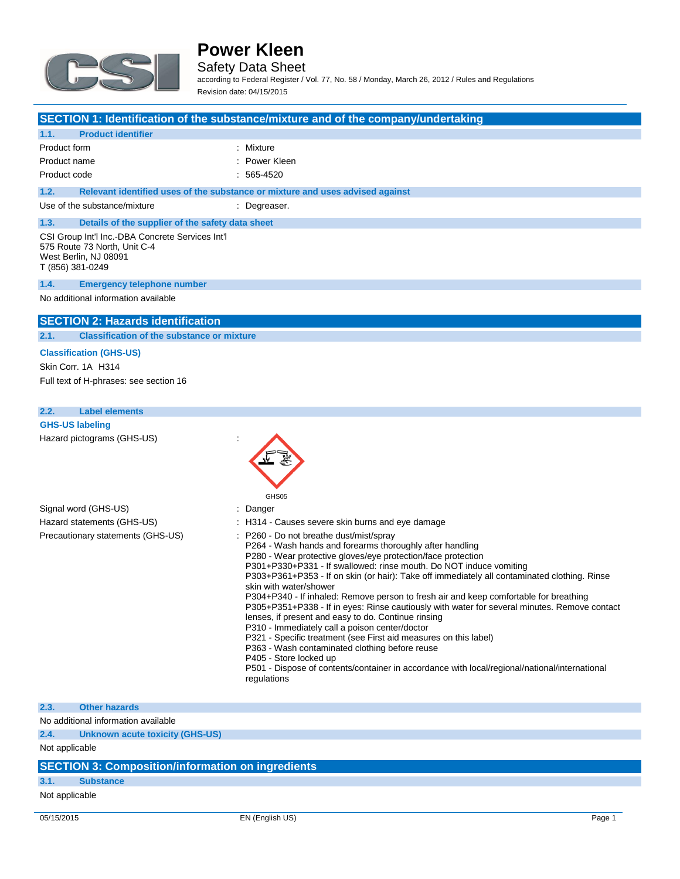

Safety Data Sheet

according to Federal Register / Vol. 77, No. 58 / Monday, March 26, 2012 / Rules and Regulations Revision date: 04/15/2015

### **SECTION 1: Identification of the substance/mixture and of the company/undertaking**

| 1.1.                                                                                                                          | <b>Product identifier</b>                        |                                                                               |
|-------------------------------------------------------------------------------------------------------------------------------|--------------------------------------------------|-------------------------------------------------------------------------------|
| Product form                                                                                                                  |                                                  | : Mixture                                                                     |
| Product name                                                                                                                  |                                                  | : Power Kleen                                                                 |
| Product code                                                                                                                  |                                                  | $: 565-4520$                                                                  |
| 1.2.                                                                                                                          |                                                  | Relevant identified uses of the substance or mixture and uses advised against |
|                                                                                                                               | Use of the substance/mixture                     | : Degreaser.                                                                  |
| 1.3.                                                                                                                          | Details of the supplier of the safety data sheet |                                                                               |
| CSI Group Int'l Inc.-DBA Concrete Services Int'l<br>575 Route 73 North, Unit C-4<br>West Berlin, NJ 08091<br>T (856) 381-0249 |                                                  |                                                                               |
| 1.4.                                                                                                                          | <b>Emergency telephone number</b>                |                                                                               |
| No additional information available                                                                                           |                                                  |                                                                               |

### **SECTION 2: Hazards identification**

**2.1. Classification of the substance or mixture**

#### **Classification (GHS-US)**

Skin Corr. 1A H314 Full text of H-phrases: see section 16

## **2.2. Label elements GHS-US labeling** Hazard pictograms (GHS-US) : GHS05 Signal word (GHS-US) in the state of the Signal word (GHS-US) in the state of the Signal state of the Signal Signal Signal Signal Signal Signal Signal Signal Signal Signal Signal Signal Signal Signal Signal Signal Signal S Hazard statements (GHS-US) : H314 - Causes severe skin burns and eye damage Precautionary statements (GHS-US) : P260 - Do not breathe dust/mist/spray P264 - Wash hands and forearms thoroughly after handling P280 - Wear protective gloves/eye protection/face protection P301+P330+P331 - If swallowed: rinse mouth. Do NOT induce vomiting P303+P361+P353 - If on skin (or hair): Take off immediately all contaminated clothing. Rinse skin with water/shower P304+P340 - If inhaled: Remove person to fresh air and keep comfortable for breathing P305+P351+P338 - If in eyes: Rinse cautiously with water for several minutes. Remove contact lenses, if present and easy to do. Continue rinsing P310 - Immediately call a poison center/doctor P321 - Specific treatment (see First aid measures on this label) P363 - Wash contaminated clothing before reuse P405 - Store locked up P501 - Dispose of contents/container in accordance with local/regional/national/international regulations

#### **2.3. Other hazards**

No additional information available

**2.4. Unknown acute toxicity (GHS-US)**

Not applicable

## **SECTION 3: Composition/information on ingredients**

### **3.1. Substance**

Not applicable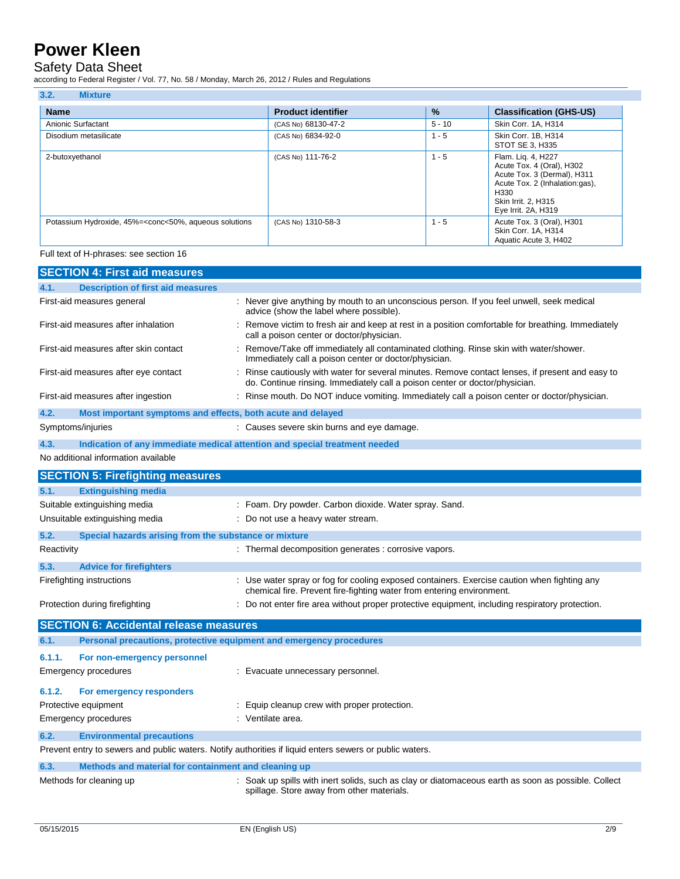## Safety Data Sheet

according to Federal Register / Vol. 77, No. 58 / Monday, March 26, 2012 / Rules and Regulations

| 3.2.<br><b>Mixture</b>                                                                                                                                                                                                     |                           |               |                                                                                                                                                                        |
|----------------------------------------------------------------------------------------------------------------------------------------------------------------------------------------------------------------------------|---------------------------|---------------|------------------------------------------------------------------------------------------------------------------------------------------------------------------------|
| <b>Name</b>                                                                                                                                                                                                                | <b>Product identifier</b> | $\frac{9}{6}$ | <b>Classification (GHS-US)</b>                                                                                                                                         |
| Anionic Surfactant                                                                                                                                                                                                         | (CAS No) 68130-47-2       | $5 - 10$      | Skin Corr. 1A, H314                                                                                                                                                    |
| Disodium metasilicate                                                                                                                                                                                                      | (CAS No) 6834-92-0        | $1 - 5$       | Skin Corr. 1B, H314<br>STOT SE 3, H335                                                                                                                                 |
| 2-butoxyethanol                                                                                                                                                                                                            | (CAS No) 111-76-2         | $1 - 5$       | Flam. Lig. 4, H227<br>Acute Tox. 4 (Oral), H302<br>Acute Tox. 3 (Dermal), H311<br>Acute Tox. 2 (Inhalation:gas),<br>H330<br>Skin Irrit. 2, H315<br>Eye Irrit. 2A, H319 |
| Potassium Hydroxide, 45%= <conc<50%, aqueous="" solutions<="" td=""><td>(CAS No) 1310-58-3</td><td><math>1 - 5</math></td><td>Acute Tox. 3 (Oral), H301<br/>Skin Corr. 1A, H314<br/>Aquatic Acute 3, H402</td></conc<50%,> | (CAS No) 1310-58-3        | $1 - 5$       | Acute Tox. 3 (Oral), H301<br>Skin Corr. 1A, H314<br>Aquatic Acute 3, H402                                                                                              |

Full text of H-phrases: see section 16

| <b>SECTION 4: First aid measures</b>   |                                                             |                                                                                                                                                                                 |  |
|----------------------------------------|-------------------------------------------------------------|---------------------------------------------------------------------------------------------------------------------------------------------------------------------------------|--|
| 4.1.                                   | <b>Description of first aid measures</b>                    |                                                                                                                                                                                 |  |
| First-aid measures general             |                                                             | : Never give anything by mouth to an unconscious person. If you feel unwell, seek medical<br>advice (show the label where possible).                                            |  |
| First-aid measures after inhalation    |                                                             | : Remove victim to fresh air and keep at rest in a position comfortable for breathing. Immediately<br>call a poison center or doctor/physician.                                 |  |
| First-aid measures after skin contact  |                                                             | Remove/Take off immediately all contaminated clothing. Rinse skin with water/shower.<br>Immediately call a poison center or doctor/physician.                                   |  |
| First-aid measures after eye contact   |                                                             | : Rinse cautiously with water for several minutes. Remove contact lenses, if present and easy to<br>do. Continue rinsing. Immediately call a poison center or doctor/physician. |  |
| First-aid measures after ingestion     |                                                             | : Rinse mouth. Do NOT induce vomiting. Immediately call a poison center or doctor/physician.                                                                                    |  |
| 4.2.                                   | Most important symptoms and effects, both acute and delayed |                                                                                                                                                                                 |  |
| Symptoms/injuries                      |                                                             | : Causes severe skin burns and eye damage.                                                                                                                                      |  |
| 4.3.                                   |                                                             | Indication of any immediate medical attention and special treatment needed                                                                                                      |  |
| No additional information available    |                                                             |                                                                                                                                                                                 |  |
|                                        | <b>SECTION 5: Firefighting measures</b>                     |                                                                                                                                                                                 |  |
| 5.1.<br><b>Extinguishing media</b>     |                                                             |                                                                                                                                                                                 |  |
| Suitable extinguishing media           |                                                             | : Foam. Dry powder. Carbon dioxide. Water spray. Sand.                                                                                                                          |  |
| Unsuitable extinguishing media         |                                                             | : Do not use a heavy water stream.                                                                                                                                              |  |
| 5.2.                                   | Special hazards arising from the substance or mixture       |                                                                                                                                                                                 |  |
| Reactivity                             |                                                             | : Thermal decomposition generates : corrosive vapors.                                                                                                                           |  |
| 5.3.<br><b>Advice for firefighters</b> |                                                             |                                                                                                                                                                                 |  |
| Firefighting instructions              |                                                             | : Use water spray or fog for cooling exposed containers. Exercise caution when fighting any<br>chemical fire. Prevent fire-fighting water from entering environment.            |  |
| Protection during firefighting         |                                                             | : Do not enter fire area without proper protective equipment, including respiratory protection.                                                                                 |  |
|                                        | <b>SECTION 6: Accidental release measures</b>               |                                                                                                                                                                                 |  |
| 6.1.                                   |                                                             | Personal precautions, protective equipment and emergency procedures                                                                                                             |  |
| 6.1.1.                                 | For non-emergency personnel                                 |                                                                                                                                                                                 |  |
| <b>Emergency procedures</b>            |                                                             | : Evacuate unnecessary personnel.                                                                                                                                               |  |
|                                        |                                                             |                                                                                                                                                                                 |  |
| 6.1.2.<br>Protective equipment         | For emergency responders                                    | : Equip cleanup crew with proper protection.                                                                                                                                    |  |
| <b>Emergency procedures</b>            |                                                             | : Ventilate area.                                                                                                                                                               |  |
| 6.2.                                   | <b>Environmental precautions</b>                            |                                                                                                                                                                                 |  |
|                                        |                                                             | Prevent entry to sewers and public waters. Notify authorities if liquid enters sewers or public waters.                                                                         |  |
|                                        |                                                             |                                                                                                                                                                                 |  |
| 6.3.<br>Methods for cleaning up        | Methods and material for containment and cleaning up        |                                                                                                                                                                                 |  |
|                                        |                                                             | : Soak up spills with inert solids, such as clay or diatomaceous earth as soon as possible. Collect<br>spillage. Store away from other materials.                               |  |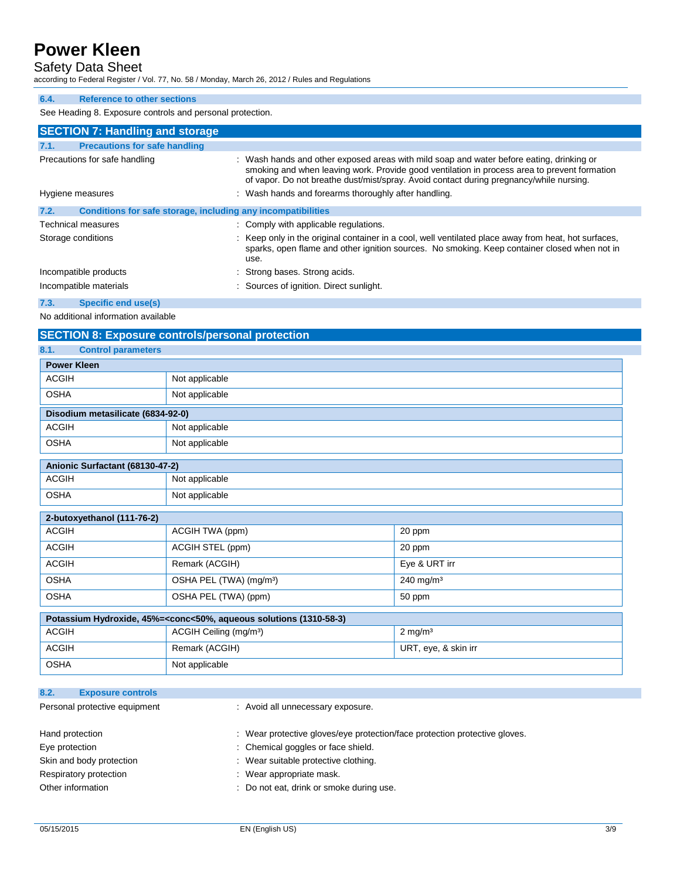### Safety Data Sheet

according to Federal Register / Vol. 77, No. 58 / Monday, March 26, 2012 / Rules and Regulations

### **6.4. Reference to other sections**

See Heading 8. Exposure controls and personal protection.

| <b>SECTION 7: Handling and storage</b>                               |                                                                                                                                                                                                                                                                                     |  |  |  |
|----------------------------------------------------------------------|-------------------------------------------------------------------------------------------------------------------------------------------------------------------------------------------------------------------------------------------------------------------------------------|--|--|--|
| 7.1.<br><b>Precautions for safe handling</b>                         |                                                                                                                                                                                                                                                                                     |  |  |  |
| Precautions for safe handling                                        | : Wash hands and other exposed areas with mild soap and water before eating, drinking or<br>smoking and when leaving work. Provide good ventilation in process area to prevent formation<br>of vapor. Do not breathe dust/mist/spray. Avoid contact during pregnancy/while nursing. |  |  |  |
| Hygiene measures                                                     | : Wash hands and forearms thoroughly after handling.                                                                                                                                                                                                                                |  |  |  |
| 7.2.<br>Conditions for safe storage, including any incompatibilities |                                                                                                                                                                                                                                                                                     |  |  |  |
| <b>Technical measures</b>                                            | : Comply with applicable regulations.                                                                                                                                                                                                                                               |  |  |  |
| Storage conditions                                                   | : Keep only in the original container in a cool, well ventilated place away from heat, hot surfaces,<br>sparks, open flame and other ignition sources. No smoking. Keep container closed when not in<br>use.                                                                        |  |  |  |
| Incompatible products                                                | : Strong bases. Strong acids.                                                                                                                                                                                                                                                       |  |  |  |
| Incompatible materials                                               | : Sources of ignition. Direct sunlight.                                                                                                                                                                                                                                             |  |  |  |
| 7.3.<br><b>Specific end use(s)</b>                                   |                                                                                                                                                                                                                                                                                     |  |  |  |

No additional information available

| <b>SECTION 8: Exposure controls/personal protection</b>                                         |                                     |                       |  |  |  |
|-------------------------------------------------------------------------------------------------|-------------------------------------|-----------------------|--|--|--|
| 8.1.<br><b>Control parameters</b>                                                               |                                     |                       |  |  |  |
| <b>Power Kleen</b>                                                                              |                                     |                       |  |  |  |
| <b>ACGIH</b>                                                                                    | Not applicable                      |                       |  |  |  |
| <b>OSHA</b>                                                                                     | Not applicable                      |                       |  |  |  |
| Disodium metasilicate (6834-92-0)                                                               |                                     |                       |  |  |  |
| <b>ACGIH</b>                                                                                    | Not applicable                      |                       |  |  |  |
| <b>OSHA</b>                                                                                     | Not applicable                      |                       |  |  |  |
| Anionic Surfactant (68130-47-2)                                                                 |                                     |                       |  |  |  |
| <b>ACGIH</b>                                                                                    | Not applicable                      |                       |  |  |  |
| <b>OSHA</b>                                                                                     | Not applicable                      |                       |  |  |  |
| 2-butoxyethanol (111-76-2)                                                                      |                                     |                       |  |  |  |
| <b>ACGIH</b>                                                                                    | ACGIH TWA (ppm)                     | 20 ppm                |  |  |  |
| <b>ACGIH</b>                                                                                    | ACGIH STEL (ppm)                    | 20 ppm                |  |  |  |
| <b>ACGIH</b>                                                                                    | Remark (ACGIH)                      | Eye & URT irr         |  |  |  |
| <b>OSHA</b>                                                                                     | OSHA PEL (TWA) (mg/m <sup>3</sup> ) | 240 mg/m <sup>3</sup> |  |  |  |
| <b>OSHA</b>                                                                                     | OSHA PEL (TWA) (ppm)                | 50 ppm                |  |  |  |
| Potassium Hydroxide, 45%= <conc<50%, (1310-58-3)<="" aqueous="" solutions="" td=""></conc<50%,> |                                     |                       |  |  |  |
| <b>ACGIH</b>                                                                                    | ACGIH Ceiling (mg/m <sup>3</sup> )  | $2$ mg/m <sup>3</sup> |  |  |  |
| <b>ACGIH</b>                                                                                    | Remark (ACGIH)                      | URT, eye, & skin irr  |  |  |  |
| <b>OSHA</b>                                                                                     | Not applicable                      |                       |  |  |  |
|                                                                                                 |                                     |                       |  |  |  |
| 8.2.<br><b>Exposure controls</b>                                                                |                                     |                       |  |  |  |
| Personal protective equipment<br>: Avoid all unnecessary exposure.                              |                                     |                       |  |  |  |

| Hand protection          | : Wear protective gloves/eye protection/face protection protective gloves. |
|--------------------------|----------------------------------------------------------------------------|
| Eye protection           | : Chemical goggles or face shield.                                         |
| Skin and body protection | : Wear suitable protective clothing.                                       |
| Respiratory protection   | : Wear appropriate mask.                                                   |
| Other information        | : Do not eat, drink or smoke during use.                                   |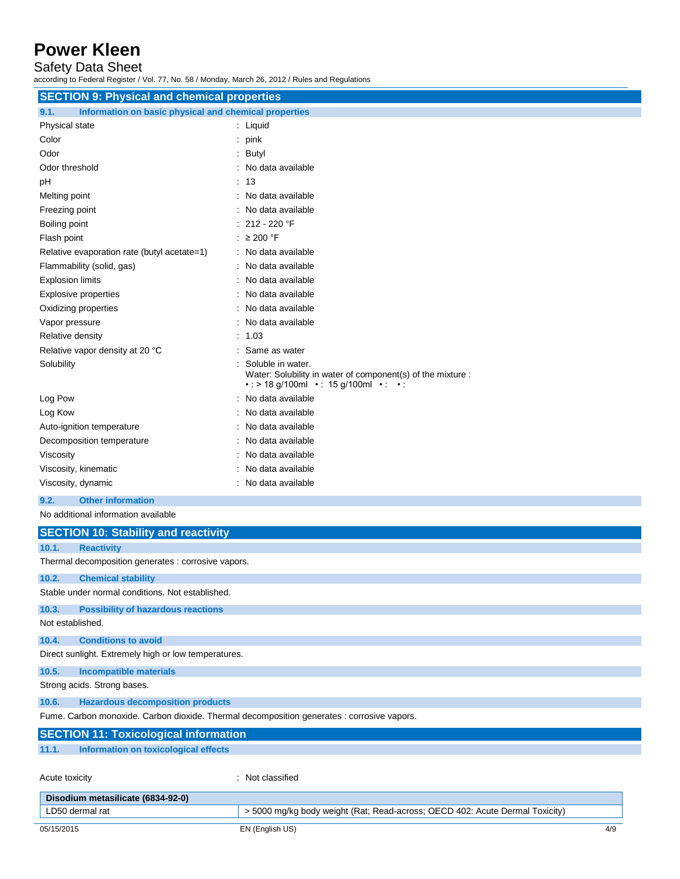## Safety Data Sheet

according to Federal Register / Vol. 77, No. 58 / Monday, March 26, 2012 / Rules and Regulations

| <b>SECTION 9: Physical and chemical properties</b>            |                                                                                                                             |  |  |  |
|---------------------------------------------------------------|-----------------------------------------------------------------------------------------------------------------------------|--|--|--|
| Information on basic physical and chemical properties<br>9.1. |                                                                                                                             |  |  |  |
| Physical state                                                | : Liquid                                                                                                                    |  |  |  |
| Color                                                         | $:$ pink                                                                                                                    |  |  |  |
| Odor                                                          | : Butyl                                                                                                                     |  |  |  |
| Odor threshold                                                | : No data available                                                                                                         |  |  |  |
| pH                                                            | : 13                                                                                                                        |  |  |  |
| Melting point                                                 | : No data available                                                                                                         |  |  |  |
| Freezing point                                                | No data available                                                                                                           |  |  |  |
| Boiling point                                                 | 212 - 220 °F                                                                                                                |  |  |  |
| Flash point                                                   | : $\geq 200$ °F                                                                                                             |  |  |  |
| Relative evaporation rate (butyl acetate=1)                   | : No data available                                                                                                         |  |  |  |
| Flammability (solid, gas)                                     | : No data available                                                                                                         |  |  |  |
| <b>Explosion limits</b>                                       | : No data available                                                                                                         |  |  |  |
| <b>Explosive properties</b>                                   | : No data available                                                                                                         |  |  |  |
| Oxidizing properties                                          | : No data available                                                                                                         |  |  |  |
| Vapor pressure                                                | : No data available                                                                                                         |  |  |  |
| Relative density                                              | : 1.03                                                                                                                      |  |  |  |
| Relative vapor density at 20 °C                               | Same as water                                                                                                               |  |  |  |
| Solubility                                                    | Soluble in water.<br>Water: Solubility in water of component(s) of the mixture :<br>• : > 18 g/100ml • : 15 g/100ml • : • : |  |  |  |
| Log Pow                                                       | : No data available                                                                                                         |  |  |  |
| Log Kow                                                       | No data available                                                                                                           |  |  |  |
| Auto-ignition temperature                                     | : No data available                                                                                                         |  |  |  |
| Decomposition temperature                                     | : No data available                                                                                                         |  |  |  |
| Viscosity                                                     | No data available                                                                                                           |  |  |  |
| Viscosity, kinematic                                          | : No data available                                                                                                         |  |  |  |
| Viscosity, dynamic                                            | : No data available                                                                                                         |  |  |  |
| 9.2.<br><b>Other information</b>                              |                                                                                                                             |  |  |  |
| No additional information available                           |                                                                                                                             |  |  |  |
| <b>SECTION 10: Stability and reactivity</b>                   |                                                                                                                             |  |  |  |
| <b>Reactivity</b><br>10.1.                                    |                                                                                                                             |  |  |  |
| Thermal decomposition generates : corrosive vapors.           |                                                                                                                             |  |  |  |

### **10.2. Chemical stability**

Stable under normal conditions. Not established.

**10.3. Possibility of hazardous reactions**

Not established.

### **10.4. Conditions to avoid**

Direct sunlight. Extremely high or low temperatures.

**10.5. Incompatible materials** Strong acids. Strong bases.

**10.6. Hazardous decomposition products**

Fume. Carbon monoxide. Carbon dioxide. Thermal decomposition generates : corrosive vapors.

| <b>SECTION 11: Toxicological information</b> |                                      |  |  |  |
|----------------------------------------------|--------------------------------------|--|--|--|
| 11.1.                                        | Information on toxicological effects |  |  |  |
|                                              |                                      |  |  |  |

Acute toxicity **in the case of the contract of the contract of the contract of the contract of the contract of the contract of the contract of the contract of the contract of the contract of the contract of the contract of** 

| Disodium metasilicate (6834-92-0) |                                                                              |  |  |  |
|-----------------------------------|------------------------------------------------------------------------------|--|--|--|
| LD50 dermal rat                   | > 5000 mg/kg body weight (Rat; Read-across; OECD 402: Acute Dermal Toxicity) |  |  |  |
| 05/15/2015                        | EN (English US)                                                              |  |  |  |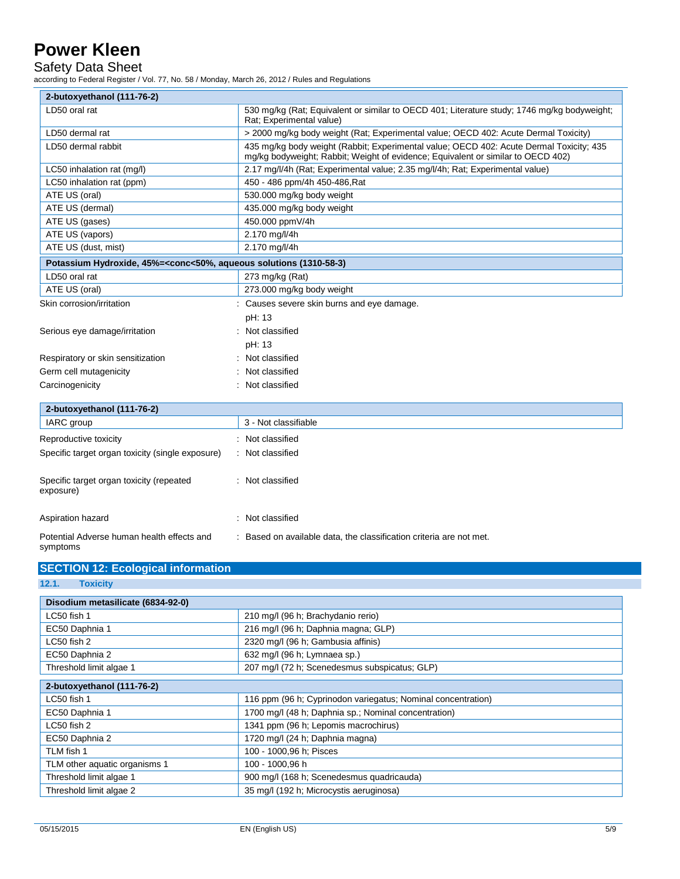## Safety Data Sheet

according to Federal Register / Vol. 77, No. 58 / Monday, March 26, 2012 / Rules and Regulations

| 2-butoxyethanol (111-76-2)                                                                               |                                                                                                                                                                             |  |
|----------------------------------------------------------------------------------------------------------|-----------------------------------------------------------------------------------------------------------------------------------------------------------------------------|--|
| LD50 oral rat                                                                                            | 530 mg/kg (Rat; Equivalent or similar to OECD 401; Literature study; 1746 mg/kg bodyweight;<br>Rat; Experimental value)                                                     |  |
| LD50 dermal rat                                                                                          | > 2000 mg/kg body weight (Rat; Experimental value; OECD 402: Acute Dermal Toxicity)                                                                                         |  |
| LD50 dermal rabbit                                                                                       | 435 mg/kg body weight (Rabbit; Experimental value; OECD 402: Acute Dermal Toxicity; 435<br>mg/kg bodyweight; Rabbit; Weight of evidence; Equivalent or similar to OECD 402) |  |
| LC50 inhalation rat (mg/l)                                                                               | 2.17 mg/l/4h (Rat; Experimental value; 2.35 mg/l/4h; Rat; Experimental value)                                                                                               |  |
| LC50 inhalation rat (ppm)                                                                                | 450 - 486 ppm/4h 450-486, Rat                                                                                                                                               |  |
| ATE US (oral)                                                                                            | 530.000 mg/kg body weight                                                                                                                                                   |  |
| ATE US (dermal)                                                                                          | 435.000 mg/kg body weight                                                                                                                                                   |  |
| ATE US (gases)                                                                                           | 450.000 ppmV/4h                                                                                                                                                             |  |
| ATE US (vapors)                                                                                          | 2.170 mg/l/4h                                                                                                                                                               |  |
| ATE US (dust, mist)                                                                                      | 2.170 mg/l/4h                                                                                                                                                               |  |
| Potassium Hydroxide, 45%= <conc<50%, (1310-58-3)<="" aqueous="" solutions="" td=""><td></td></conc<50%,> |                                                                                                                                                                             |  |
| LD50 oral rat                                                                                            | 273 mg/kg (Rat)                                                                                                                                                             |  |
| ATE US (oral)                                                                                            | 273.000 mg/kg body weight                                                                                                                                                   |  |
| Skin corrosion/irritation                                                                                | Causes severe skin burns and eye damage.                                                                                                                                    |  |
|                                                                                                          | pH: 13                                                                                                                                                                      |  |
| Serious eye damage/irritation                                                                            | Not classified                                                                                                                                                              |  |
|                                                                                                          | pH: 13                                                                                                                                                                      |  |
| Respiratory or skin sensitization                                                                        | Not classified                                                                                                                                                              |  |
| Germ cell mutagenicity                                                                                   | Not classified                                                                                                                                                              |  |
| Carcinogenicity                                                                                          | Not classified                                                                                                                                                              |  |
|                                                                                                          |                                                                                                                                                                             |  |
| 2-butoxyethanol (111-76-2)                                                                               |                                                                                                                                                                             |  |
| IARC group                                                                                               | 3 - Not classifiable                                                                                                                                                        |  |
| Reproductive toxicity                                                                                    | Not classified                                                                                                                                                              |  |
| Specific target organ toxicity (single exposure)                                                         | Not classified                                                                                                                                                              |  |
|                                                                                                          |                                                                                                                                                                             |  |
| Specific target organ toxicity (repeated<br>exposure)                                                    | : Not classified                                                                                                                                                            |  |
| Aspiration hazard                                                                                        | Not classified                                                                                                                                                              |  |
| Potential Adverse human health effects and<br>symptoms                                                   | Based on available data, the classification criteria are not met.                                                                                                           |  |

| SECTION 12: Ecological information |
|------------------------------------|
|------------------------------------|

```
12.1. Toxicity
```

| Disodium metasilicate (6834-92-0) |                                                              |  |
|-----------------------------------|--------------------------------------------------------------|--|
| LC50 fish 1                       | 210 mg/l (96 h; Brachydanio rerio)                           |  |
| EC50 Daphnia 1                    | 216 mg/l (96 h; Daphnia magna; GLP)                          |  |
| $LC50$ fish 2                     | 2320 mg/l (96 h; Gambusia affinis)                           |  |
| EC50 Daphnia 2                    | 632 mg/l (96 h; Lymnaea sp.)                                 |  |
| Threshold limit algae 1           | 207 mg/l (72 h; Scenedesmus subspicatus; GLP)                |  |
| 2-butoxyethanol (111-76-2)        |                                                              |  |
| LC50 fish 1                       | 116 ppm (96 h; Cyprinodon variegatus; Nominal concentration) |  |
| EC50 Daphnia 1                    | 1700 mg/l (48 h; Daphnia sp.; Nominal concentration)         |  |
| LC50 fish 2                       | 1341 ppm (96 h; Lepomis macrochirus)                         |  |
| EC50 Daphnia 2                    | 1720 mg/l (24 h; Daphnia magna)                              |  |
| TLM fish 1                        | 100 - 1000,96 h; Pisces                                      |  |
| TLM other aquatic organisms 1     | 100 - 1000,96 h                                              |  |
| Threshold limit algae 1           | 900 mg/l (168 h; Scenedesmus quadricauda)                    |  |
| Threshold limit algae 2           | 35 mg/l (192 h; Microcystis aeruginosa)                      |  |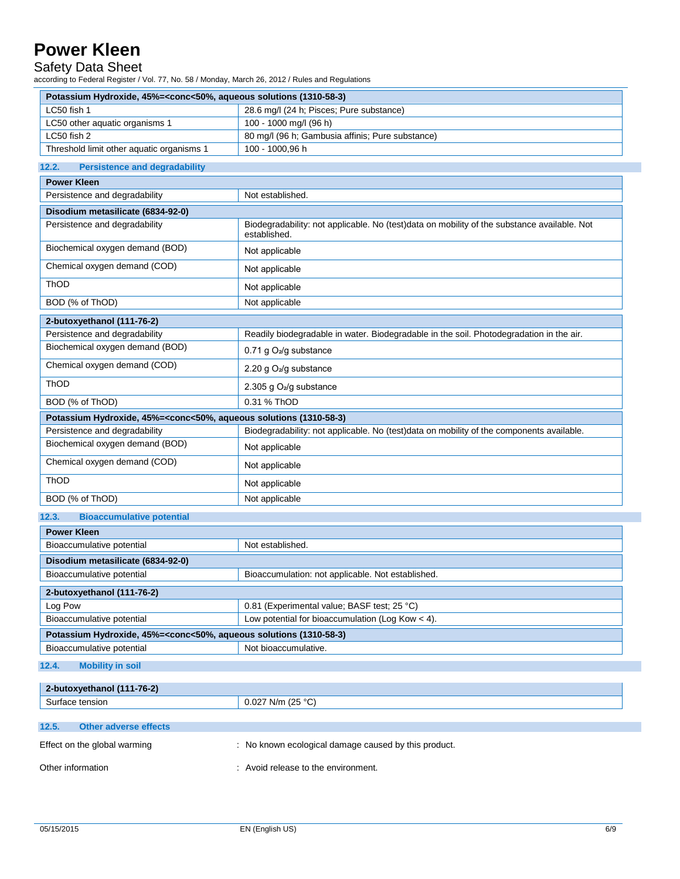## Safety Data Sheet

according to Federal Register / Vol. 77, No. 58 / Monday, March 26, 2012 / Rules and Regulations

| Potassium Hydroxide, 45%= <conc<50%, (1310-58-3)<="" aqueous="" solutions="" th=""></conc<50%,>          |                                                                                                             |  |  |
|----------------------------------------------------------------------------------------------------------|-------------------------------------------------------------------------------------------------------------|--|--|
| LC50 fish 1                                                                                              | 28.6 mg/l (24 h; Pisces; Pure substance)                                                                    |  |  |
| LC50 other aquatic organisms 1                                                                           | 100 - 1000 mg/l (96 h)                                                                                      |  |  |
| LC50 fish 2                                                                                              | 80 mg/l (96 h; Gambusia affinis; Pure substance)                                                            |  |  |
| Threshold limit other aquatic organisms 1                                                                | 100 - 1000,96 h                                                                                             |  |  |
| <b>Persistence and degradability</b><br>12.2.                                                            |                                                                                                             |  |  |
| <b>Power Kleen</b>                                                                                       |                                                                                                             |  |  |
| Persistence and degradability                                                                            | Not established.                                                                                            |  |  |
| Disodium metasilicate (6834-92-0)                                                                        |                                                                                                             |  |  |
| Persistence and degradability                                                                            | Biodegradability: not applicable. No (test)data on mobility of the substance available. Not<br>established. |  |  |
| Biochemical oxygen demand (BOD)                                                                          | Not applicable                                                                                              |  |  |
| Chemical oxygen demand (COD)                                                                             | Not applicable                                                                                              |  |  |
| ThOD                                                                                                     | Not applicable                                                                                              |  |  |
| BOD (% of ThOD)                                                                                          | Not applicable                                                                                              |  |  |
| 2-butoxyethanol (111-76-2)                                                                               |                                                                                                             |  |  |
| Persistence and degradability                                                                            | Readily biodegradable in water. Biodegradable in the soil. Photodegradation in the air.                     |  |  |
| Biochemical oxygen demand (BOD)                                                                          | 0.71 g O <sub>2</sub> /g substance                                                                          |  |  |
| Chemical oxygen demand (COD)                                                                             | 2.20 g O <sub>2</sub> /g substance                                                                          |  |  |
| ThOD                                                                                                     | 2.305 g O <sub>2</sub> /g substance                                                                         |  |  |
| BOD (% of ThOD)                                                                                          | 0.31 % ThOD                                                                                                 |  |  |
| Potassium Hydroxide, 45%= <conc<50%, (1310-58-3)<="" aqueous="" solutions="" td=""><td></td></conc<50%,> |                                                                                                             |  |  |
| Persistence and degradability                                                                            | Biodegradability: not applicable. No (test)data on mobility of the components available.                    |  |  |
| Biochemical oxygen demand (BOD)                                                                          | Not applicable                                                                                              |  |  |
| Chemical oxygen demand (COD)                                                                             | Not applicable                                                                                              |  |  |
| ThOD                                                                                                     | Not applicable                                                                                              |  |  |
| BOD (% of ThOD)                                                                                          | Not applicable                                                                                              |  |  |
| <b>Bioaccumulative potential</b><br>12.3.                                                                |                                                                                                             |  |  |
| <b>Power Kleen</b>                                                                                       |                                                                                                             |  |  |
| Bioaccumulative potential                                                                                | Not established.                                                                                            |  |  |
| Disodium metasilicate (6834-92-0)                                                                        |                                                                                                             |  |  |
| Bioaccumulative potential                                                                                | Bioaccumulation: not applicable. Not established.                                                           |  |  |
| 2-butoxyethanol (111-76-2)                                                                               |                                                                                                             |  |  |
| Log Pow                                                                                                  | 0.81 (Experimental value; BASF test; 25 °C)                                                                 |  |  |
| Bioaccumulative potential                                                                                | Low potential for bioaccumulation (Log Kow $<$ 4).                                                          |  |  |
| Potassium Hydroxide, 45%= <conc<50%, (1310-58-3)<="" aqueous="" solutions="" td=""><td></td></conc<50%,> |                                                                                                             |  |  |
| Bioaccumulative potential                                                                                | Not bioaccumulative.                                                                                        |  |  |
| 12.4.<br><b>Mobility in soil</b>                                                                         |                                                                                                             |  |  |
|                                                                                                          |                                                                                                             |  |  |
| 2-butoxyethanol (111-76-2)                                                                               |                                                                                                             |  |  |
| Surface tension                                                                                          | 0.027 N/m (25 °C)                                                                                           |  |  |
| 12.5.<br><b>Other adverse effects</b>                                                                    |                                                                                                             |  |  |
| Effect on the global warming                                                                             | : No known ecological damage caused by this product.                                                        |  |  |
| Other information                                                                                        | : Avoid release to the environment.                                                                         |  |  |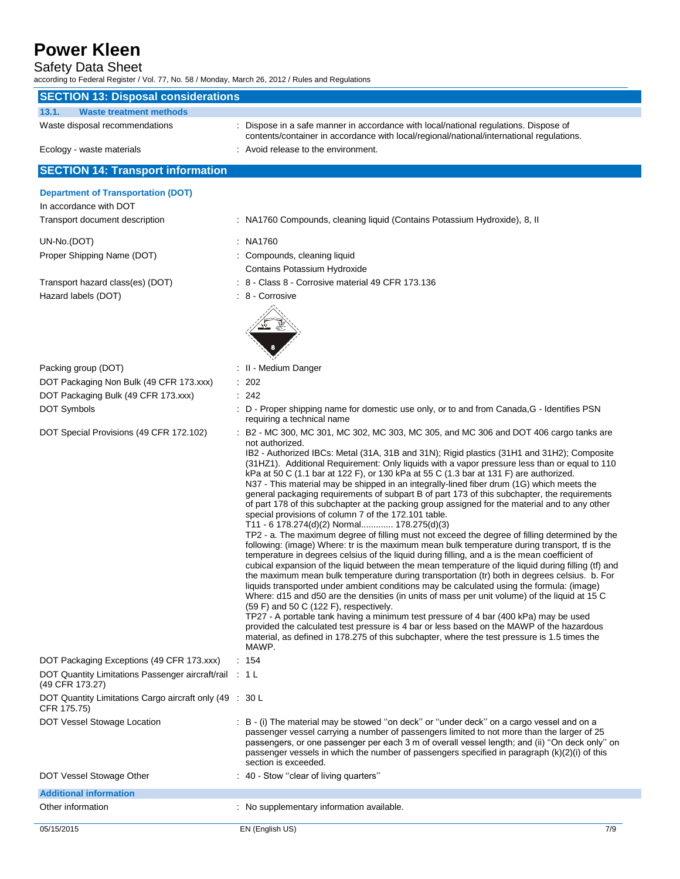## Safety Data Sheet

according to Federal Register / Vol. 77, No. 58 / Monday, March 26, 2012 / Rules and Regulations

| <b>SECTION 13: Disposal considerations</b>                                |                                                                                                                                                                                                                                                                                                                                                                                                                                                                                                                                                                                                                                                                                                                                                                                                                                                                                                                                                                                                                                                                                                                                                                                                                                                                                                                                                                                                                                                                                                                                                                                                                                                                                                                                                              |  |
|---------------------------------------------------------------------------|--------------------------------------------------------------------------------------------------------------------------------------------------------------------------------------------------------------------------------------------------------------------------------------------------------------------------------------------------------------------------------------------------------------------------------------------------------------------------------------------------------------------------------------------------------------------------------------------------------------------------------------------------------------------------------------------------------------------------------------------------------------------------------------------------------------------------------------------------------------------------------------------------------------------------------------------------------------------------------------------------------------------------------------------------------------------------------------------------------------------------------------------------------------------------------------------------------------------------------------------------------------------------------------------------------------------------------------------------------------------------------------------------------------------------------------------------------------------------------------------------------------------------------------------------------------------------------------------------------------------------------------------------------------------------------------------------------------------------------------------------------------|--|
| 13.1.<br><b>Waste treatment methods</b>                                   |                                                                                                                                                                                                                                                                                                                                                                                                                                                                                                                                                                                                                                                                                                                                                                                                                                                                                                                                                                                                                                                                                                                                                                                                                                                                                                                                                                                                                                                                                                                                                                                                                                                                                                                                                              |  |
| Waste disposal recommendations                                            | : Dispose in a safe manner in accordance with local/national regulations. Dispose of<br>contents/container in accordance with local/regional/national/international regulations.                                                                                                                                                                                                                                                                                                                                                                                                                                                                                                                                                                                                                                                                                                                                                                                                                                                                                                                                                                                                                                                                                                                                                                                                                                                                                                                                                                                                                                                                                                                                                                             |  |
| Ecology - waste materials                                                 | : Avoid release to the environment.                                                                                                                                                                                                                                                                                                                                                                                                                                                                                                                                                                                                                                                                                                                                                                                                                                                                                                                                                                                                                                                                                                                                                                                                                                                                                                                                                                                                                                                                                                                                                                                                                                                                                                                          |  |
| <b>SECTION 14: Transport information</b>                                  |                                                                                                                                                                                                                                                                                                                                                                                                                                                                                                                                                                                                                                                                                                                                                                                                                                                                                                                                                                                                                                                                                                                                                                                                                                                                                                                                                                                                                                                                                                                                                                                                                                                                                                                                                              |  |
| <b>Department of Transportation (DOT)</b>                                 |                                                                                                                                                                                                                                                                                                                                                                                                                                                                                                                                                                                                                                                                                                                                                                                                                                                                                                                                                                                                                                                                                                                                                                                                                                                                                                                                                                                                                                                                                                                                                                                                                                                                                                                                                              |  |
| In accordance with DOT                                                    |                                                                                                                                                                                                                                                                                                                                                                                                                                                                                                                                                                                                                                                                                                                                                                                                                                                                                                                                                                                                                                                                                                                                                                                                                                                                                                                                                                                                                                                                                                                                                                                                                                                                                                                                                              |  |
| Transport document description                                            | : NA1760 Compounds, cleaning liquid (Contains Potassium Hydroxide), 8, II                                                                                                                                                                                                                                                                                                                                                                                                                                                                                                                                                                                                                                                                                                                                                                                                                                                                                                                                                                                                                                                                                                                                                                                                                                                                                                                                                                                                                                                                                                                                                                                                                                                                                    |  |
| UN-No.(DOT)                                                               | : NA1760                                                                                                                                                                                                                                                                                                                                                                                                                                                                                                                                                                                                                                                                                                                                                                                                                                                                                                                                                                                                                                                                                                                                                                                                                                                                                                                                                                                                                                                                                                                                                                                                                                                                                                                                                     |  |
| Proper Shipping Name (DOT)                                                | : Compounds, cleaning liquid                                                                                                                                                                                                                                                                                                                                                                                                                                                                                                                                                                                                                                                                                                                                                                                                                                                                                                                                                                                                                                                                                                                                                                                                                                                                                                                                                                                                                                                                                                                                                                                                                                                                                                                                 |  |
|                                                                           | Contains Potassium Hydroxide                                                                                                                                                                                                                                                                                                                                                                                                                                                                                                                                                                                                                                                                                                                                                                                                                                                                                                                                                                                                                                                                                                                                                                                                                                                                                                                                                                                                                                                                                                                                                                                                                                                                                                                                 |  |
| Transport hazard class(es) (DOT)                                          | : 8 - Class 8 - Corrosive material 49 CFR 173.136                                                                                                                                                                                                                                                                                                                                                                                                                                                                                                                                                                                                                                                                                                                                                                                                                                                                                                                                                                                                                                                                                                                                                                                                                                                                                                                                                                                                                                                                                                                                                                                                                                                                                                            |  |
| Hazard labels (DOT)                                                       | : 8 - Corrosive                                                                                                                                                                                                                                                                                                                                                                                                                                                                                                                                                                                                                                                                                                                                                                                                                                                                                                                                                                                                                                                                                                                                                                                                                                                                                                                                                                                                                                                                                                                                                                                                                                                                                                                                              |  |
|                                                                           |                                                                                                                                                                                                                                                                                                                                                                                                                                                                                                                                                                                                                                                                                                                                                                                                                                                                                                                                                                                                                                                                                                                                                                                                                                                                                                                                                                                                                                                                                                                                                                                                                                                                                                                                                              |  |
|                                                                           |                                                                                                                                                                                                                                                                                                                                                                                                                                                                                                                                                                                                                                                                                                                                                                                                                                                                                                                                                                                                                                                                                                                                                                                                                                                                                                                                                                                                                                                                                                                                                                                                                                                                                                                                                              |  |
|                                                                           |                                                                                                                                                                                                                                                                                                                                                                                                                                                                                                                                                                                                                                                                                                                                                                                                                                                                                                                                                                                                                                                                                                                                                                                                                                                                                                                                                                                                                                                                                                                                                                                                                                                                                                                                                              |  |
|                                                                           |                                                                                                                                                                                                                                                                                                                                                                                                                                                                                                                                                                                                                                                                                                                                                                                                                                                                                                                                                                                                                                                                                                                                                                                                                                                                                                                                                                                                                                                                                                                                                                                                                                                                                                                                                              |  |
| Packing group (DOT)                                                       | : II - Medium Danger                                                                                                                                                                                                                                                                                                                                                                                                                                                                                                                                                                                                                                                                                                                                                                                                                                                                                                                                                                                                                                                                                                                                                                                                                                                                                                                                                                                                                                                                                                                                                                                                                                                                                                                                         |  |
| DOT Packaging Non Bulk (49 CFR 173.xxx)                                   | : 202                                                                                                                                                                                                                                                                                                                                                                                                                                                                                                                                                                                                                                                                                                                                                                                                                                                                                                                                                                                                                                                                                                                                                                                                                                                                                                                                                                                                                                                                                                                                                                                                                                                                                                                                                        |  |
| DOT Packaging Bulk (49 CFR 173.xxx)<br><b>DOT Symbols</b>                 | : 242<br>: D - Proper shipping name for domestic use only, or to and from Canada, G - Identifies PSN                                                                                                                                                                                                                                                                                                                                                                                                                                                                                                                                                                                                                                                                                                                                                                                                                                                                                                                                                                                                                                                                                                                                                                                                                                                                                                                                                                                                                                                                                                                                                                                                                                                         |  |
|                                                                           | requiring a technical name                                                                                                                                                                                                                                                                                                                                                                                                                                                                                                                                                                                                                                                                                                                                                                                                                                                                                                                                                                                                                                                                                                                                                                                                                                                                                                                                                                                                                                                                                                                                                                                                                                                                                                                                   |  |
| DOT Special Provisions (49 CFR 172.102)                                   | : B2 - MC 300, MC 301, MC 302, MC 303, MC 305, and MC 306 and DOT 406 cargo tanks are                                                                                                                                                                                                                                                                                                                                                                                                                                                                                                                                                                                                                                                                                                                                                                                                                                                                                                                                                                                                                                                                                                                                                                                                                                                                                                                                                                                                                                                                                                                                                                                                                                                                        |  |
|                                                                           | not authorized.<br>IB2 - Authorized IBCs: Metal (31A, 31B and 31N); Rigid plastics (31H1 and 31H2); Composite<br>(31HZ1). Additional Requirement: Only liquids with a vapor pressure less than or equal to 110<br>kPa at 50 C (1.1 bar at 122 F), or 130 kPa at 55 C (1.3 bar at 131 F) are authorized.<br>N37 - This material may be shipped in an integrally-lined fiber drum (1G) which meets the<br>general packaging requirements of subpart B of part 173 of this subchapter, the requirements<br>of part 178 of this subchapter at the packing group assigned for the material and to any other<br>special provisions of column 7 of the 172.101 table.<br>T11 - 6 178.274(d)(2) Normal 178.275(d)(3)<br>TP2 - a. The maximum degree of filling must not exceed the degree of filling determined by the<br>following: (image) Where: tr is the maximum mean bulk temperature during transport, tf is the<br>temperature in degrees celsius of the liquid during filling, and a is the mean coefficient of<br>cubical expansion of the liquid between the mean temperature of the liquid during filling (tf) and<br>the maximum mean bulk temperature during transportation (tr) both in degrees celsius. b. For<br>liquids transported under ambient conditions may be calculated using the formula: (image)<br>Where: d15 and d50 are the densities (in units of mass per unit volume) of the liquid at 15 C<br>(59 F) and 50 C (122 F), respectively.<br>TP27 - A portable tank having a minimum test pressure of 4 bar (400 kPa) may be used<br>provided the calculated test pressure is 4 bar or less based on the MAWP of the hazardous<br>material, as defined in 178.275 of this subchapter, where the test pressure is 1.5 times the<br>MAWP. |  |
| DOT Packaging Exceptions (49 CFR 173.xxx)                                 | : 154                                                                                                                                                                                                                                                                                                                                                                                                                                                                                                                                                                                                                                                                                                                                                                                                                                                                                                                                                                                                                                                                                                                                                                                                                                                                                                                                                                                                                                                                                                                                                                                                                                                                                                                                                        |  |
| DOT Quantity Limitations Passenger aircraft/rail : 1 L<br>(49 CFR 173.27) |                                                                                                                                                                                                                                                                                                                                                                                                                                                                                                                                                                                                                                                                                                                                                                                                                                                                                                                                                                                                                                                                                                                                                                                                                                                                                                                                                                                                                                                                                                                                                                                                                                                                                                                                                              |  |
| DOT Quantity Limitations Cargo aircraft only (49 : 30 L<br>CFR 175.75)    |                                                                                                                                                                                                                                                                                                                                                                                                                                                                                                                                                                                                                                                                                                                                                                                                                                                                                                                                                                                                                                                                                                                                                                                                                                                                                                                                                                                                                                                                                                                                                                                                                                                                                                                                                              |  |
| DOT Vessel Stowage Location                                               | : B - (i) The material may be stowed "on deck" or "under deck" on a cargo vessel and on a<br>passenger vessel carrying a number of passengers limited to not more than the larger of 25<br>passengers, or one passenger per each 3 m of overall vessel length; and (ii) "On deck only" on<br>passenger vessels in which the number of passengers specified in paragraph $(k)(2)(i)$ of this<br>section is exceeded.                                                                                                                                                                                                                                                                                                                                                                                                                                                                                                                                                                                                                                                                                                                                                                                                                                                                                                                                                                                                                                                                                                                                                                                                                                                                                                                                          |  |
| DOT Vessel Stowage Other                                                  | : 40 - Stow "clear of living quarters"                                                                                                                                                                                                                                                                                                                                                                                                                                                                                                                                                                                                                                                                                                                                                                                                                                                                                                                                                                                                                                                                                                                                                                                                                                                                                                                                                                                                                                                                                                                                                                                                                                                                                                                       |  |
| <b>Additional information</b>                                             |                                                                                                                                                                                                                                                                                                                                                                                                                                                                                                                                                                                                                                                                                                                                                                                                                                                                                                                                                                                                                                                                                                                                                                                                                                                                                                                                                                                                                                                                                                                                                                                                                                                                                                                                                              |  |
| Other information                                                         | : No supplementary information available.                                                                                                                                                                                                                                                                                                                                                                                                                                                                                                                                                                                                                                                                                                                                                                                                                                                                                                                                                                                                                                                                                                                                                                                                                                                                                                                                                                                                                                                                                                                                                                                                                                                                                                                    |  |
| 05/15/2015                                                                | EN (English US)<br>7/9                                                                                                                                                                                                                                                                                                                                                                                                                                                                                                                                                                                                                                                                                                                                                                                                                                                                                                                                                                                                                                                                                                                                                                                                                                                                                                                                                                                                                                                                                                                                                                                                                                                                                                                                       |  |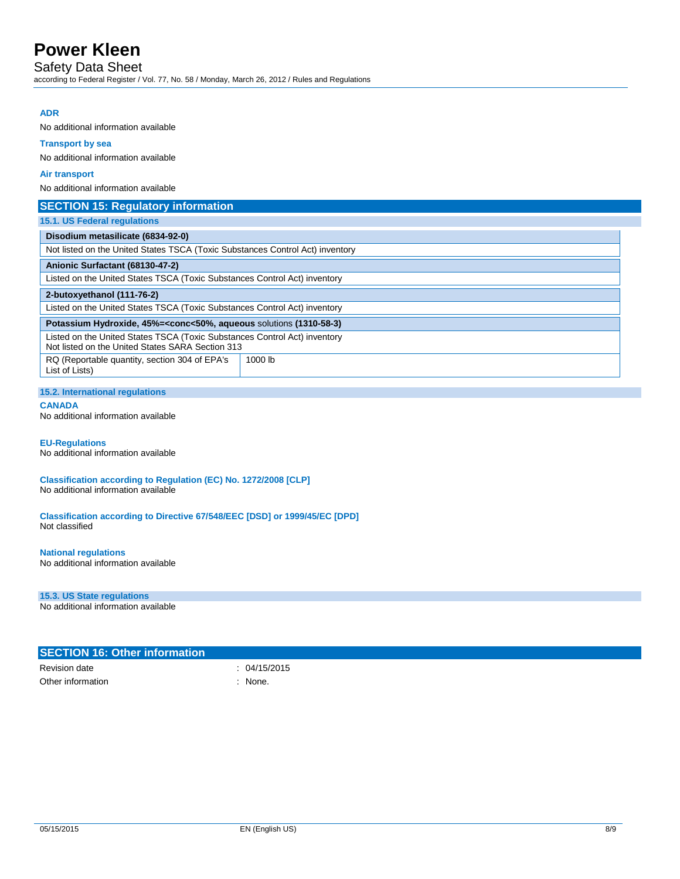Safety Data Sheet

according to Federal Register / Vol. 77, No. 58 / Monday, March 26, 2012 / Rules and Regulations

### **ADR**

No additional information available

### **Transport by sea**

No additional information available

#### **Air transport**

No additional information available

## **SECTION 15: Regulatory information**

#### **15.1. US Federal regulations**

**Disodium metasilicate (6834-92-0)**

Not listed on the United States TSCA (Toxic Substances Control Act) inventory **Anionic Surfactant (68130-47-2)** Listed on the United States TSCA (Toxic Substances Control Act) inventory **2-butoxyethanol (111-76-2)** Listed on the United States TSCA (Toxic Substances Control Act) inventory **Potassium Hydroxide, 45%=<conc<50%, aqueous** solutions **(1310-58-3)**

Listed on the United States TSCA (Toxic Substances Control Act) inventory Not listed on the United States SARA Section 313 RQ (Reportable quantity, section 304 of EPA's 1000 lb

List of Lists)

#### **15.2. International regulations**

**CANADA**

No additional information available

#### **EU-Regulations**

No additional information available

#### **Classification according to Regulation (EC) No. 1272/2008 [CLP]** No additional information available

**Classification according to Directive 67/548/EEC [DSD] or 1999/45/EC [DPD]** Not classified

#### **National regulations**

No additional information available

#### **15.3. US State regulations**

No additional information available

| <b>SECTION 16: Other information</b> |              |
|--------------------------------------|--------------|
| Revision date                        | : 04/15/2015 |
| Other information                    | None.        |